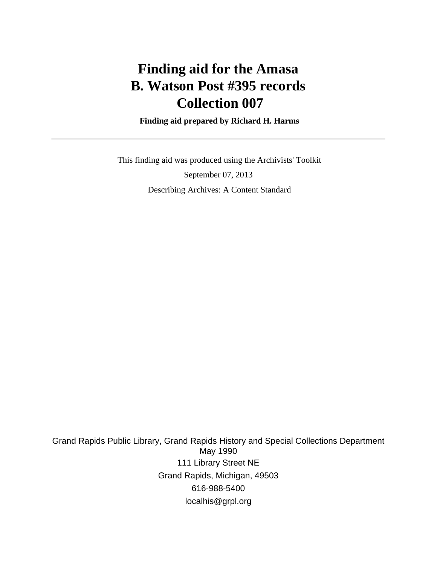# **Finding aid for the Amasa B. Watson Post #395 records Collection 007**

 **Finding aid prepared by Richard H. Harms**

 This finding aid was produced using the Archivists' Toolkit September 07, 2013 Describing Archives: A Content Standard

Grand Rapids Public Library, Grand Rapids History and Special Collections Department May 1990 111 Library Street NE Grand Rapids, Michigan, 49503 616-988-5400 localhis@grpl.org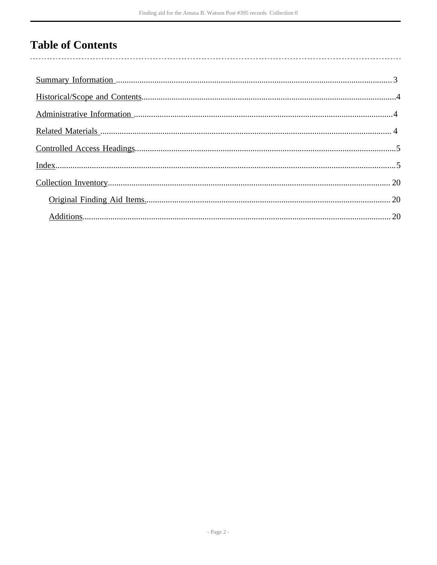## **Table of Contents**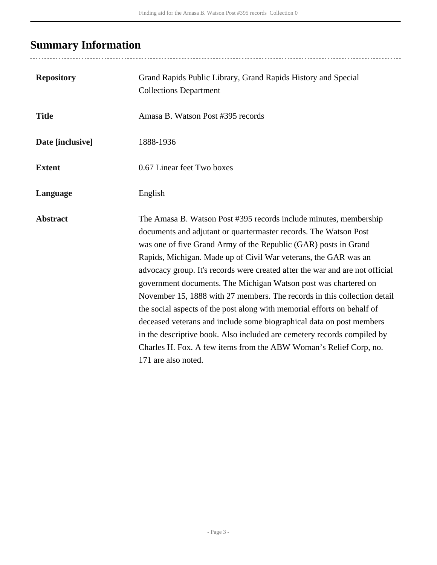# <span id="page-2-0"></span>**Summary Information**

| <b>Repository</b> | Grand Rapids Public Library, Grand Rapids History and Special<br><b>Collections Department</b>                                                                                                                                                                                                                                                                                                                                                                                                                                                                                                                                                                                                                                                                                                                                       |
|-------------------|--------------------------------------------------------------------------------------------------------------------------------------------------------------------------------------------------------------------------------------------------------------------------------------------------------------------------------------------------------------------------------------------------------------------------------------------------------------------------------------------------------------------------------------------------------------------------------------------------------------------------------------------------------------------------------------------------------------------------------------------------------------------------------------------------------------------------------------|
| <b>Title</b>      | Amasa B. Watson Post #395 records                                                                                                                                                                                                                                                                                                                                                                                                                                                                                                                                                                                                                                                                                                                                                                                                    |
| Date [inclusive]  | 1888-1936                                                                                                                                                                                                                                                                                                                                                                                                                                                                                                                                                                                                                                                                                                                                                                                                                            |
| <b>Extent</b>     | 0.67 Linear feet Two boxes                                                                                                                                                                                                                                                                                                                                                                                                                                                                                                                                                                                                                                                                                                                                                                                                           |
| Language          | English                                                                                                                                                                                                                                                                                                                                                                                                                                                                                                                                                                                                                                                                                                                                                                                                                              |
| <b>Abstract</b>   | The Amasa B. Watson Post #395 records include minutes, membership<br>documents and adjutant or quartermaster records. The Watson Post<br>was one of five Grand Army of the Republic (GAR) posts in Grand<br>Rapids, Michigan. Made up of Civil War veterans, the GAR was an<br>advocacy group. It's records were created after the war and are not official<br>government documents. The Michigan Watson post was chartered on<br>November 15, 1888 with 27 members. The records in this collection detail<br>the social aspects of the post along with memorial efforts on behalf of<br>deceased veterans and include some biographical data on post members<br>in the descriptive book. Also included are cemetery records compiled by<br>Charles H. Fox. A few items from the ABW Woman's Relief Corp, no.<br>171 are also noted. |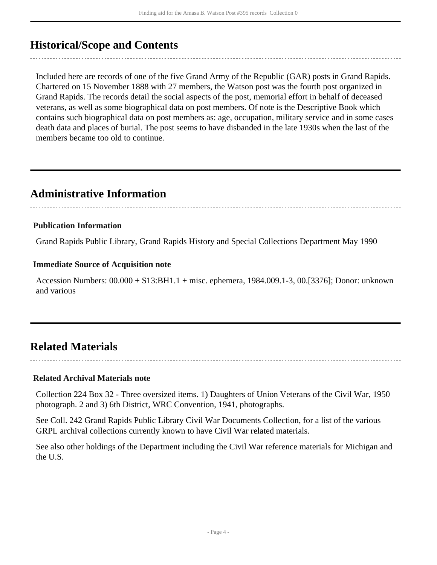## <span id="page-3-0"></span>**Historical/Scope and Contents**

Included here are records of one of the five Grand Army of the Republic (GAR) posts in Grand Rapids. Chartered on 15 November 1888 with 27 members, the Watson post was the fourth post organized in Grand Rapids. The records detail the social aspects of the post, memorial effort in behalf of deceased veterans, as well as some biographical data on post members. Of note is the Descriptive Book which contains such biographical data on post members as: age, occupation, military service and in some cases death data and places of burial. The post seems to have disbanded in the late 1930s when the last of the members became too old to continue.

## <span id="page-3-1"></span>**Administrative Information**

### **Publication Information**

Grand Rapids Public Library, Grand Rapids History and Special Collections Department May 1990

#### **Immediate Source of Acquisition note**

Accession Numbers: 00.000 + S13:BH1.1 + misc. ephemera, 1984.009.1-3, 00.[3376]; Donor: unknown and various

## <span id="page-3-2"></span>**Related Materials**

#### **Related Archival Materials note**

Collection 224 Box 32 - Three oversized items. 1) Daughters of Union Veterans of the Civil War, 1950 photograph. 2 and 3) 6th District, WRC Convention, 1941, photographs.

See Coll. 242 Grand Rapids Public Library Civil War Documents Collection, for a list of the various GRPL archival collections currently known to have Civil War related materials.

See also other holdings of the Department including the Civil War reference materials for Michigan and the U.S.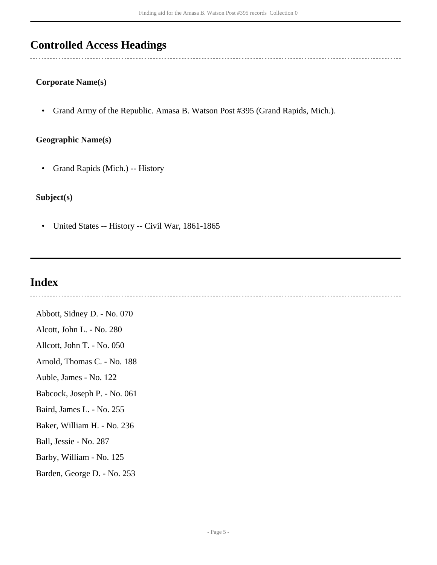## <span id="page-4-0"></span>**Controlled Access Headings**

#### **Corporate Name(s)**

• Grand Army of the Republic. Amasa B. Watson Post #395 (Grand Rapids, Mich.).

#### **Geographic Name(s)**

• Grand Rapids (Mich.) -- History

### **Subject(s)**

• United States -- History -- Civil War, 1861-1865

### <span id="page-4-1"></span>**Index**

Abbott, Sidney D. - No. 070 Alcott, John L. - No. 280 Allcott, John T. - No. 050 Arnold, Thomas C. - No. 188 Auble, James - No. 122 Babcock, Joseph P. - No. 061 Baird, James L. - No. 255 Baker, William H. - No. 236 Ball, Jessie - No. 287 Barby, William - No. 125 Barden, George D. - No. 253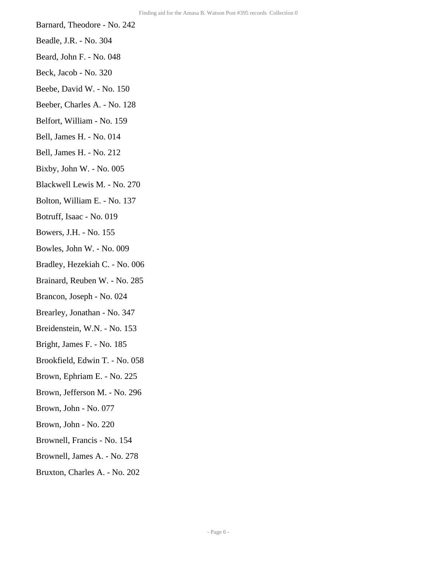- Barnard, Theodore No. 242
- Beadle, J.R. No. 304
- Beard, John F. No. 048
- Beck, Jacob No. 320
- Beebe, David W. No. 150
- Beeber, Charles A. No. 128
- Belfort, William No. 159
- Bell, James H. No. 014
- Bell, James H. No. 212
- Bixby, John W. No. 005
- Blackwell Lewis M. No. 270
- Bolton, William E. No. 137
- Botruff, Isaac No. 019
- Bowers, J.H. No. 155
- Bowles, John W. No. 009
- Bradley, Hezekiah C. No. 006
- Brainard, Reuben W. No. 285
- Brancon, Joseph No. 024
- Brearley, Jonathan No. 347
- Breidenstein, W.N. No. 153
- Bright, James F. No. 185
- Brookfield, Edwin T. No. 058
- Brown, Ephriam E. No. 225
- Brown, Jefferson M. No. 296
- Brown, John No. 077
- Brown, John No. 220
- Brownell, Francis No. 154
- Brownell, James A. No. 278
- Bruxton, Charles A. No. 202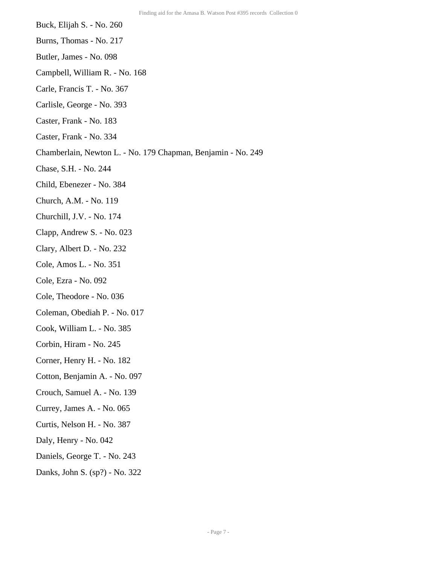- Buck, Elijah S. No. 260
- Burns, Thomas No. 217
- Butler, James No. 098
- Campbell, William R. No. 168
- Carle, Francis T. No. 367
- Carlisle, George No. 393
- Caster, Frank No. 183
- Caster, Frank No. 334
- Chamberlain, Newton L. No. 179 Chapman, Benjamin No. 249
- Chase, S.H. No. 244
- Child, Ebenezer No. 384
- Church, A.M. No. 119
- Churchill, J.V. No. 174
- Clapp, Andrew S. No. 023
- Clary, Albert D. No. 232
- Cole, Amos L. No. 351
- Cole, Ezra No. 092
- Cole, Theodore No. 036
- Coleman, Obediah P. No. 017
- Cook, William L. No. 385
- Corbin, Hiram No. 245
- Corner, Henry H. No. 182
- Cotton, Benjamin A. No. 097
- Crouch, Samuel A. No. 139
- Currey, James A. No. 065
- Curtis, Nelson H. No. 387
- Daly, Henry No. 042
- Daniels, George T. No. 243
- Danks, John S. (sp?) No. 322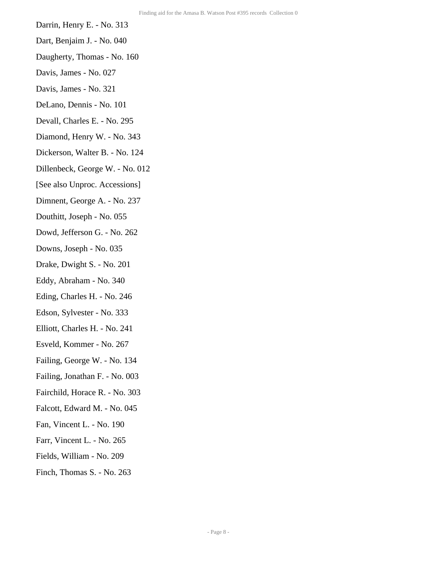- Darrin, Henry E. No. 313
- Dart, Benjaim J. No. 040
- Daugherty, Thomas No. 160
- Davis, James No. 027
- Davis, James No. 321
- DeLano, Dennis No. 101
- Devall, Charles E. No. 295
- Diamond, Henry W. No. 343
- Dickerson, Walter B. No. 124
- Dillenbeck, George W. No. 012
- [See also Unproc. Accessions]
- Dimnent, George A. No. 237
- Douthitt, Joseph No. 055
- Dowd, Jefferson G. No. 262
- Downs, Joseph No. 035
- Drake, Dwight S. No. 201
- Eddy, Abraham No. 340
- Eding, Charles H. No. 246
- Edson, Sylvester No. 333
- Elliott, Charles H. No. 241
- Esveld, Kommer No. 267
- Failing, George W. No. 134
- Failing, Jonathan F. No. 003
- Fairchild, Horace R. No. 303
- Falcott, Edward M. No. 045
- Fan, Vincent L. No. 190
- Farr, Vincent L. No. 265
- Fields, William No. 209
- Finch, Thomas S. No. 263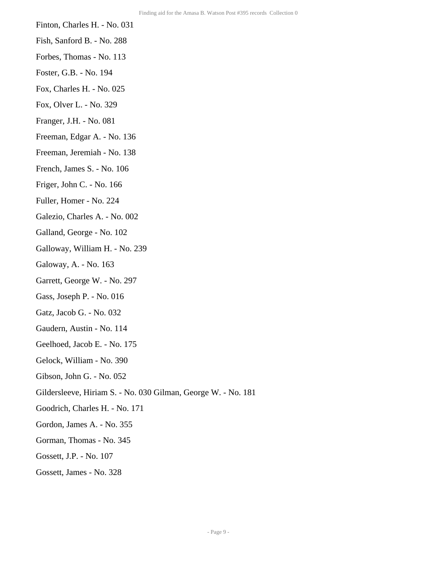- Finton, Charles H. No. 031
- Fish, Sanford B. No. 288
- Forbes, Thomas No. 113
- Foster, G.B. No. 194
- Fox, Charles H. No. 025
- Fox, Olver L. No. 329
- Franger, J.H. No. 081
- Freeman, Edgar A. No. 136
- Freeman, Jeremiah No. 138
- French, James S. No. 106
- Friger, John C. No. 166
- Fuller, Homer No. 224
- Galezio, Charles A. No. 002
- Galland, George No. 102
- Galloway, William H. No. 239
- Galoway, A. No. 163
- Garrett, George W. No. 297
- Gass, Joseph P. No. 016
- Gatz, Jacob G. No. 032
- Gaudern, Austin No. 114
- Geelhoed, Jacob E. No. 175
- Gelock, William No. 390
- Gibson, John G. No. 052
- Gildersleeve, Hiriam S. No. 030 Gilman, George W. No. 181
- Goodrich, Charles H. No. 171
- Gordon, James A. No. 355
- Gorman, Thomas No. 345
- Gossett, J.P. No. 107
- Gossett, James No. 328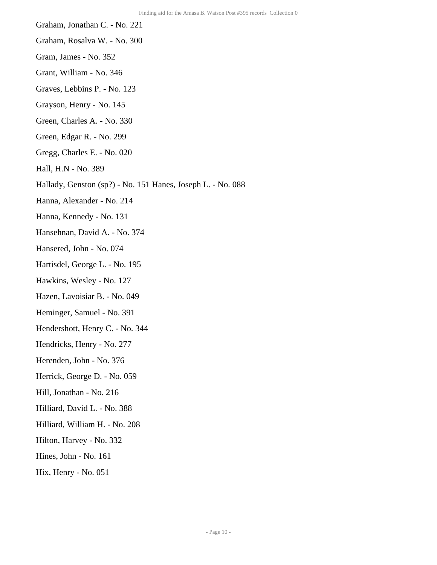- Graham, Jonathan C. No. 221
- Graham, Rosalva W. No. 300
- Gram, James No. 352
- Grant, William No. 346
- Graves, Lebbins P. No. 123
- Grayson, Henry No. 145
- Green, Charles A. No. 330
- Green, Edgar R. No. 299
- Gregg, Charles E. No. 020
- Hall, H.N No. 389
- Hallady, Genston (sp?) No. 151 Hanes, Joseph L. No. 088
- Hanna, Alexander No. 214
- Hanna, Kennedy No. 131
- Hansehnan, David A. No. 374
- Hansered, John No. 074
- Hartisdel, George L. No. 195
- Hawkins, Wesley No. 127
- Hazen, Lavoisiar B. No. 049
- Heminger, Samuel No. 391
- Hendershott, Henry C. No. 344
- Hendricks, Henry No. 277
- Herenden, John No. 376
- Herrick, George D. No. 059
- Hill, Jonathan No. 216
- Hilliard, David L. No. 388
- Hilliard, William H. No. 208
- Hilton, Harvey No. 332
- Hines, John No. 161
- Hix, Henry No. 051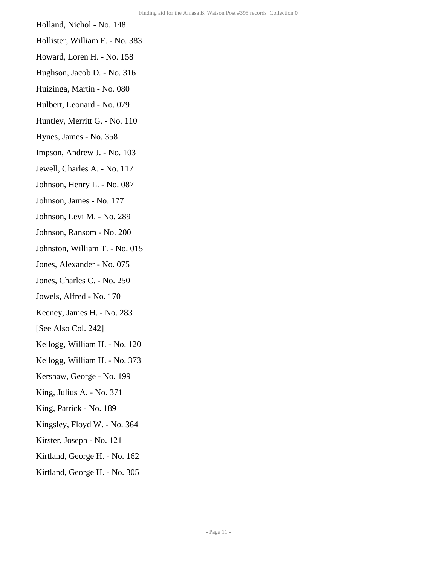- Holland, Nichol No. 148
- Hollister, William F. No. 383
- Howard, Loren H. No. 158
- Hughson, Jacob D. No. 316
- Huizinga, Martin No. 080
- Hulbert, Leonard No. 079
- Huntley, Merritt G. No. 110
- Hynes, James No. 358
- Impson, Andrew J. No. 103
- Jewell, Charles A. No. 117
- Johnson, Henry L. No. 087
- Johnson, James No. 177
- Johnson, Levi M. No. 289
- Johnson, Ransom No. 200
- Johnston, William T. No. 015
- Jones, Alexander No. 075
- Jones, Charles C. No. 250
- Jowels, Alfred No. 170
- Keeney, James H. No. 283
- [See Also Col. 242]
- Kellogg, William H. No. 120
- Kellogg, William H. No. 373
- Kershaw, George No. 199
- King, Julius A. No. 371
- King, Patrick No. 189
- Kingsley, Floyd W. No. 364
- Kirster, Joseph No. 121
- Kirtland, George H. No. 162
- Kirtland, George H. No. 305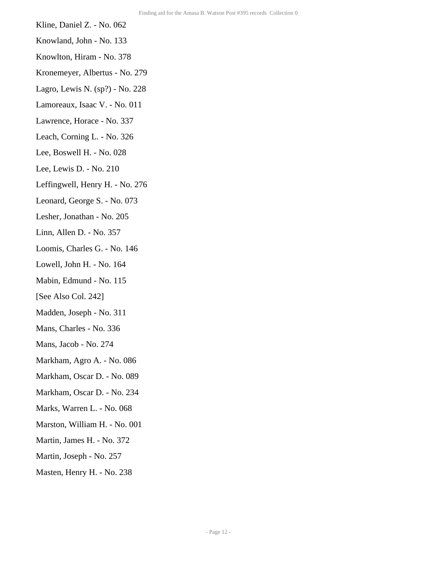- Kline, Daniel Z. No. 062
- Knowland, John No. 133
- Knowlton, Hiram No. 378
- Kronemeyer, Albertus No. 279
- Lagro, Lewis N. (sp?) No. 228
- Lamoreaux, Isaac V. No. 011
- Lawrence, Horace No. 337
- Leach, Corning L. No. 326
- Lee, Boswell H. No. 028
- Lee, Lewis D. No. 210
- Leffingwell, Henry H. No. 276
- Leonard, George S. No. 073
- Lesher, Jonathan No. 205
- Linn, Allen D. No. 357
- Loomis, Charles G. No. 146
- Lowell, John H. No. 164
- Mabin, Edmund No. 115
- [See Also Col. 242]
- Madden, Joseph No. 311
- Mans, Charles No. 336
- Mans, Jacob No. 274
- Markham, Agro A. No. 086
- Markham, Oscar D. No. 089
- Markham, Oscar D. No. 234
- Marks, Warren L. No. 068
- Marston, William H. No. 001
- Martin, James H. No. 372
- Martin, Joseph No. 257
- Masten, Henry H. No. 238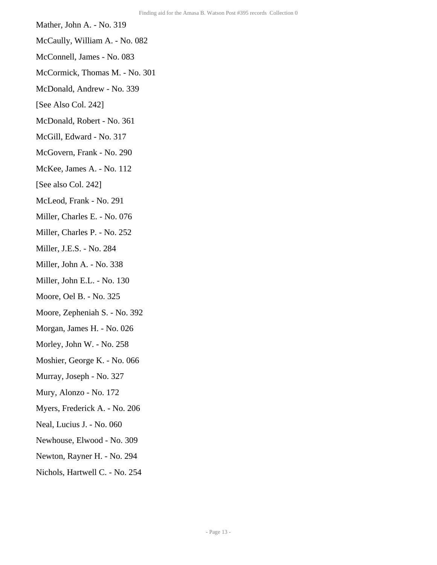- Mather, John A. No. 319
- McCaully, William A. No. 082
- McConnell, James No. 083
- McCormick, Thomas M. No. 301
- McDonald, Andrew No. 339
- [See Also Col. 242]
- McDonald, Robert No. 361
- McGill, Edward No. 317
- McGovern, Frank No. 290
- McKee, James A. No. 112
- [See also Col. 242]
- McLeod, Frank No. 291
- Miller, Charles E. No. 076
- Miller, Charles P. No. 252
- Miller, J.E.S. No. 284
- Miller, John A. No. 338
- Miller, John E.L. No. 130
- Moore, Oel B. No. 325
- Moore, Zepheniah S. No. 392
- Morgan, James H. No. 026
- Morley, John W. No. 258
- Moshier, George K. No. 066
- Murray, Joseph No. 327
- Mury, Alonzo No. 172
- Myers, Frederick A. No. 206
- Neal, Lucius J. No. 060
- Newhouse, Elwood No. 309
- Newton, Rayner H. No. 294
- Nichols, Hartwell C. No. 254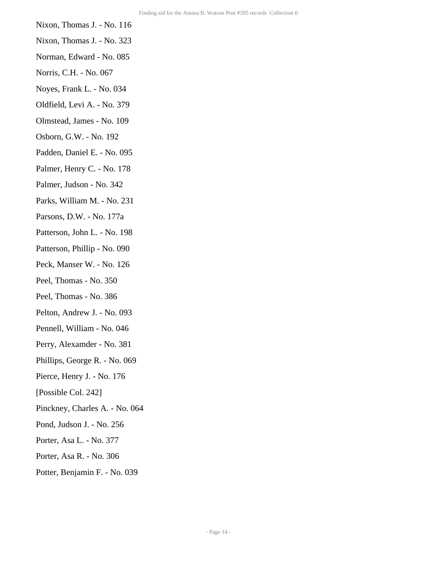- Nixon, Thomas J. No. 116
- Nixon, Thomas J. No. 323
- Norman, Edward No. 085
- Norris, C.H. No. 067
- Noyes, Frank L. No. 034
- Oldfield, Levi A. No. 379
- Olmstead, James No. 109
- Osborn, G.W. No. 192
- Padden, Daniel E. No. 095
- Palmer, Henry C. No. 178
- Palmer, Judson No. 342
- Parks, William M. No. 231
- Parsons, D.W. No. 177a
- Patterson, John L. No. 198
- Patterson, Phillip No. 090
- Peck, Manser W. No. 126
- Peel, Thomas No. 350
- Peel, Thomas No. 386
- Pelton, Andrew J. No. 093
- Pennell, William No. 046
- Perry, Alexamder No. 381
- Phillips, George R. No. 069
- Pierce, Henry J. No. 176
- [Possible Col. 242]
- Pinckney, Charles A. No. 064
- Pond, Judson J. No. 256
- Porter, Asa L. No. 377
- Porter, Asa R. No. 306
- Potter, Benjamin F. No. 039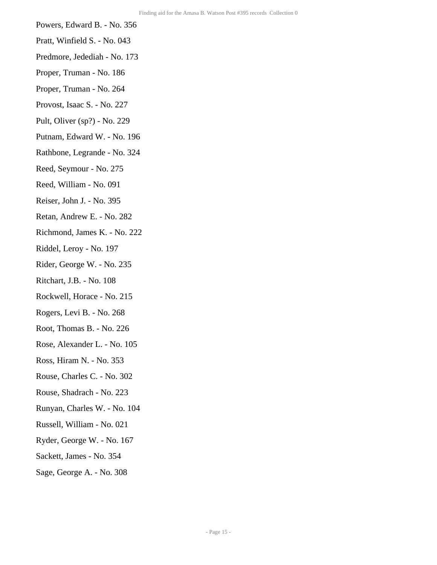- Powers, Edward B. No. 356
- Pratt, Winfield S. No. 043
- Predmore, Jedediah No. 173
- Proper, Truman No. 186
- Proper, Truman No. 264
- Provost, Isaac S. No. 227
- Pult, Oliver (sp?) No. 229
- Putnam, Edward W. No. 196
- Rathbone, Legrande No. 324
- Reed, Seymour No. 275
- Reed, William No. 091
- Reiser, John J. No. 395
- Retan, Andrew E. No. 282
- Richmond, James K. No. 222
- Riddel, Leroy No. 197
- Rider, George W. No. 235
- Ritchart, J.B. No. 108
- Rockwell, Horace No. 215
- Rogers, Levi B. No. 268
- Root, Thomas B. No. 226
- Rose, Alexander L. No. 105
- Ross, Hiram N. No. 353
- Rouse, Charles C. No. 302
- Rouse, Shadrach No. 223
- Runyan, Charles W. No. 104
- Russell, William No. 021
- Ryder, George W. No. 167
- Sackett, James No. 354
- Sage, George A. No. 308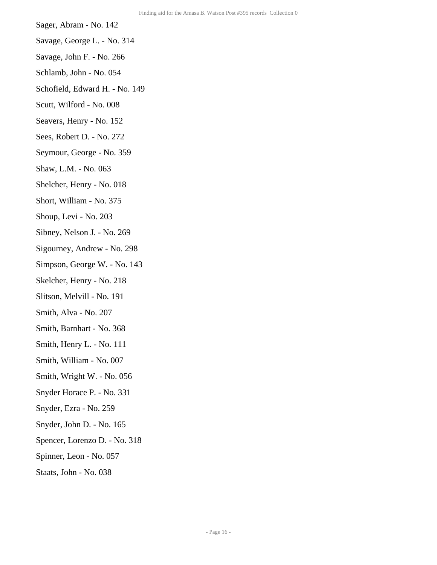- Sager, Abram No. 142
- Savage, George L. No. 314
- Savage, John F. No. 266
- Schlamb, John No. 054
- Schofield, Edward H. No. 149
- Scutt, Wilford No. 008
- Seavers, Henry No. 152
- Sees, Robert D. No. 272
- Seymour, George No. 359
- Shaw, L.M. No. 063
- Shelcher, Henry No. 018
- Short, William No. 375
- Shoup, Levi No. 203
- Sibney, Nelson J. No. 269
- Sigourney, Andrew No. 298
- Simpson, George W. No. 143
- Skelcher, Henry No. 218
- Slitson, Melvill No. 191
- Smith, Alva No. 207
- Smith, Barnhart No. 368
- Smith, Henry L. No. 111
- Smith, William No. 007
- Smith, Wright W. No. 056
- Snyder Horace P. No. 331
- Snyder, Ezra No. 259
- Snyder, John D. No. 165
- Spencer, Lorenzo D. No. 318
- Spinner, Leon No. 057
- Staats, John No. 038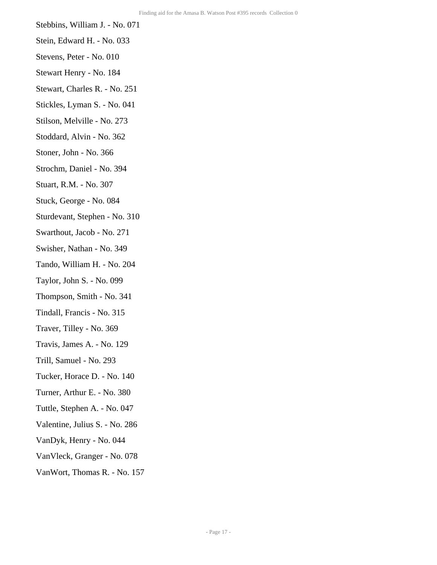- Stebbins, William J. No. 071
- Stein, Edward H. No. 033
- Stevens, Peter No. 010
- Stewart Henry No. 184
- Stewart, Charles R. No. 251
- Stickles, Lyman S. No. 041
- Stilson, Melville No. 273
- Stoddard, Alvin No. 362
- Stoner, John No. 366
- Strochm, Daniel No. 394
- Stuart, R.M. No. 307
- Stuck, George No. 084
- Sturdevant, Stephen No. 310
- Swarthout, Jacob No. 271
- Swisher, Nathan No. 349
- Tando, William H. No. 204
- Taylor, John S. No. 099
- Thompson, Smith No. 341
- Tindall, Francis No. 315
- Traver, Tilley No. 369
- Travis, James A. No. 129
- Trill, Samuel No. 293
- Tucker, Horace D. No. 140
- Turner, Arthur E. No. 380
- Tuttle, Stephen A. No. 047
- Valentine, Julius S. No. 286
- VanDyk, Henry No. 044
- VanVleck, Granger No. 078
- VanWort, Thomas R. No. 157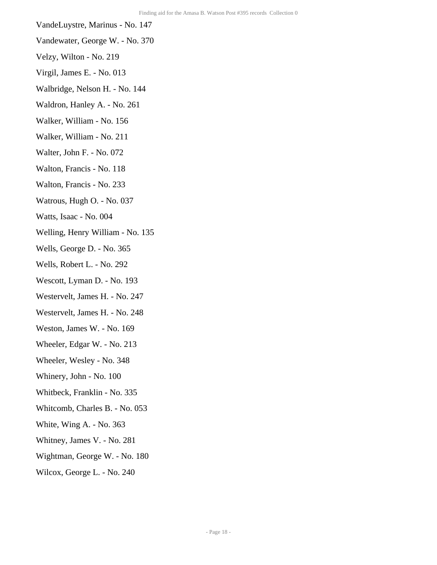- VandeLuystre, Marinus No. 147
- Vandewater, George W. No. 370
- Velzy, Wilton No. 219
- Virgil, James E. No. 013
- Walbridge, Nelson H. No. 144
- Waldron, Hanley A. No. 261
- Walker, William No. 156
- Walker, William No. 211
- Walter, John F. No. 072
- Walton, Francis No. 118
- Walton, Francis No. 233
- Watrous, Hugh O. No. 037
- Watts, Isaac No. 004
- Welling, Henry William No. 135
- Wells, George D. No. 365
- Wells, Robert L. No. 292
- Wescott, Lyman D. No. 193
- Westervelt, James H. No. 247
- Westervelt, James H. No. 248
- Weston, James W. No. 169
- Wheeler, Edgar W. No. 213
- Wheeler, Wesley No. 348
- Whinery, John No. 100
- Whitbeck, Franklin No. 335
- Whitcomb, Charles B. No. 053
- White, Wing A. No. 363
- Whitney, James V. No. 281
- Wightman, George W. No. 180
- Wilcox, George L. No. 240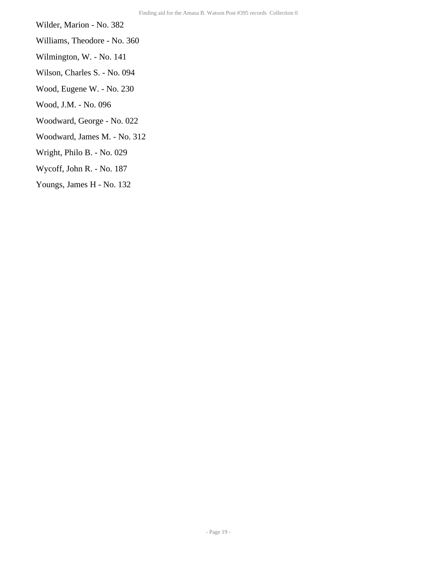Wilder, Marion - No. 382

- Williams, Theodore No. 360
- Wilmington, W. No. 141
- Wilson, Charles S. No. 094
- Wood, Eugene W. No. 230
- Wood, J.M. No. 096
- Woodward, George No. 022
- Woodward, James M. No. 312
- Wright, Philo B. No. 029
- Wycoff, John R. No. 187
- Youngs, James H No. 132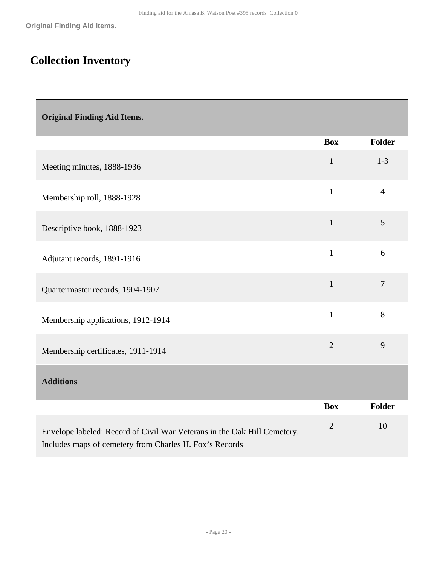# <span id="page-19-0"></span>**Collection Inventory**

<span id="page-19-1"></span>

| <b>Original Finding Aid Items.</b> |  |  |
|------------------------------------|--|--|
|                                    |  |  |
|                                    |  |  |

<span id="page-19-2"></span>

|                                                                                                                                     | <b>Box</b>     | <b>Folder</b>  |
|-------------------------------------------------------------------------------------------------------------------------------------|----------------|----------------|
| Meeting minutes, 1888-1936                                                                                                          | $\mathbf{1}$   | $1 - 3$        |
| Membership roll, 1888-1928                                                                                                          | $\mathbf{1}$   | $\overline{4}$ |
| Descriptive book, 1888-1923                                                                                                         | $\mathbf{1}$   | 5              |
| Adjutant records, 1891-1916                                                                                                         | $\mathbf{1}$   | 6              |
| Quartermaster records, 1904-1907                                                                                                    | $\mathbf{1}$   | $\overline{7}$ |
| Membership applications, 1912-1914                                                                                                  | $\mathbf{1}$   | 8              |
| Membership certificates, 1911-1914                                                                                                  | $\overline{2}$ | 9              |
| <b>Additions</b>                                                                                                                    |                |                |
|                                                                                                                                     | <b>Box</b>     | Folder         |
| Envelope labeled: Record of Civil War Veterans in the Oak Hill Cemetery.<br>Includes maps of cemetery from Charles H. Fox's Records | $\mathbf{2}$   | 10             |